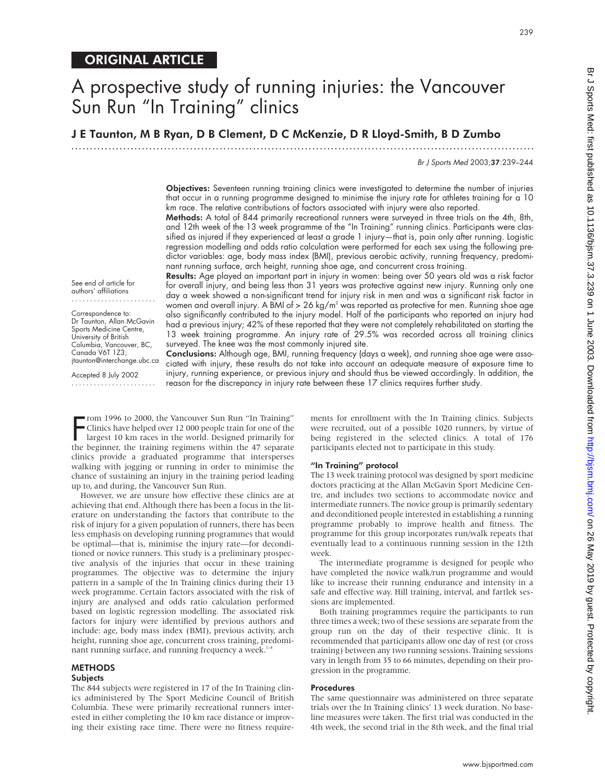J E Taunton, M B Ryan, D B Clement, D C McKenzie, D R Lloyd-Smith, B D Zumbo

.............................................................................................................................

Br J Sports Med 2003;37:239–244

Objectives: Seventeen running training clinics were investigated to determine the number of injuries that occur in a running programme designed to minimise the injury rate for athletes training for a 10 km race. The relative contributions of factors associated with injury were also reported.

Methods: A total of 844 primarily recreational runners were surveyed in three trials on the 4th, 8th, and 12th week of the 13 week programme of the "In Training" running clinics. Participants were classified as injured if they experienced at least a grade 1 injury—that is, pain only after running. Logistic regression modelling and odds ratio calculation were performed for each sex using the following predictor variables: age, body mass index (BMI), previous aerobic activity, running frequency, predominant running surface, arch height, running shoe age, and concurrent cross training.

Results: Age played an important part in injury in women: being over 50 years old was a risk factor for overall injury, and being less than 31 years was protective against new injury. Running only one day a week showed a non-significant trend for injury risk in men and was a significant risk factor in women and overall injury. A BMI of  $> 26$  kg/m<sup>2</sup> was reported as protective for men. Running shoe age also significantly contributed to the injury model. Half of the participants who reported an injury had had a previous injury; 42% of these reported that they were not completely rehabilitated on starting the 13 week training programme. An injury rate of 29.5% was recorded across all training clinics surveyed. The knee was the most commonly injured site.

Conclusions: Although age, BMI, running frequency (days a week), and running shoe age were associated with injury, these results do not take into account an adequate measure of exposure time to injury, running experience, or previous injury and should thus be viewed accordingly. In addition, the reason for the discrepancy in injury rate between these 17 clinics requires further study.

See end of article for authors' affiliations .......................

Correspondence to: Dr Taunton, Allan McGavin Sports Medicine Centre, University of British Columbia, Vancouver, BC, Canada V6T 1Z3; jtaunton@interchange.ubc.ca

Accepted 8 July 2002 .......................

From 1996 to 2000, the Vancouver Sun Run "In Training"<br>Clinics have helped over 12 000 people train for one of the<br>largest 10 km races in the world. Designed primarily for<br>the beginner, the training regimens within the 47 Clinics have helped over 12 000 people train for one of the largest 10 km races in the world. Designed primarily for the beginner, the training regimens within the 47 separate clinics provide a graduated programme that intersperses walking with jogging or running in order to minimise the chance of sustaining an injury in the training period leading up to, and during, the Vancouver Sun Run.

However, we are unsure how effective these clinics are at achieving that end. Although there has been a focus in the literature on understanding the factors that contribute to the risk of injury for a given population of runners, there has been less emphasis on developing running programmes that would be optimal—that is, minimise the injury rate—for deconditioned or novice runners. This study is a preliminary prospective analysis of the injuries that occur in these training programmes. The objective was to determine the injury pattern in a sample of the In Training clinics during their 13 week programme. Certain factors associated with the risk of injury are analysed and odds ratio calculation performed based on logistic regression modelling. The associated risk factors for injury were identified by previous authors and include: age, body mass index (BMI), previous activity, arch height, running shoe age, concurrent cross training, predominant running surface, and running frequency a week.<sup>1-8</sup>

# **METHODS**

### Subjects

The 844 subjects were registered in 17 of the In Training clinics administered by The Sport Medicine Council of British Columbia. These were primarily recreational runners interested in either completing the 10 km race distance or improving their existing race time. There were no fitness requirements for enrollment with the In Training clinics. Subjects were recruited, out of a possible 1020 runners, by virtue of being registered in the selected clinics. A total of 176 participants elected not to participate in this study.

#### "In Training" protocol

The 13 week training protocol was designed by sport medicine doctors practicing at the Allan McGavin Sport Medicine Centre, and includes two sections to accommodate novice and intermediate runners. The novice group is primarily sedentary and deconditioned people interested in establishing a running programme probably to improve health and fitness. The programme for this group incorporates run/walk repeats that eventually lead to a continuous running session in the 12th week.

The intermediate programme is designed for people who have completed the novice walk/run programme and would like to increase their running endurance and intensity in a safe and effective way. Hill training, interval, and fartlek sessions are implemented.

Both training programmes require the participants to run three times a week; two of these sessions are separate from the group run on the day of their respective clinic. It is recommended that participants allow one day of rest (or cross training) between any two running sessions. Training sessions vary in length from 35 to 66 minutes, depending on their progression in the programme.

### Procedures

The same questionnaire was administered on three separate trials over the In Training clinics' 13 week duration. No baseline measures were taken. The first trial was conducted in the 4th week, the second trial in the 8th week, and the final trial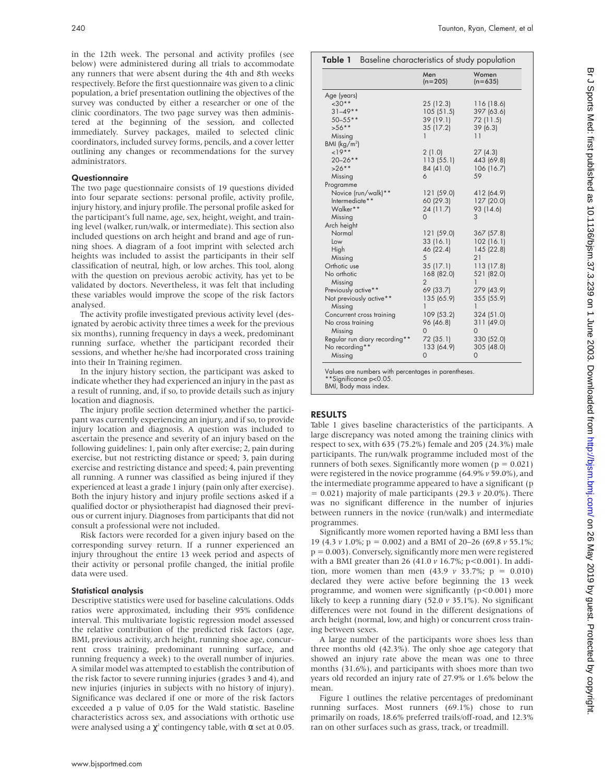in the 12th week. The personal and activity profiles (see below) were administered during all trials to accommodate any runners that were absent during the 4th and 8th weeks respectively. Before the first questionnaire was given to a clinic population, a brief presentation outlining the objectives of the survey was conducted by either a researcher or one of the clinic coordinators. The two page survey was then administered at the beginning of the session, and collected immediately. Survey packages, mailed to selected clinic coordinators, included survey forms, pencils, and a cover letter outlining any changes or recommendations for the survey administrators.

# **Questionnaire**

The two page questionnaire consists of 19 questions divided into four separate sections: personal profile, activity profile, injury history, and injury profile. The personal profile asked for the participant's full name, age, sex, height, weight, and training level (walker, run/walk, or intermediate). This section also included questions on arch height and brand and age of running shoes. A diagram of a foot imprint with selected arch heights was included to assist the participants in their self classification of neutral, high, or low arches. This tool, along with the question on previous aerobic activity, has yet to be validated by doctors. Nevertheless, it was felt that including these variables would improve the scope of the risk factors analysed.

The activity profile investigated previous activity level (designated by aerobic activity three times a week for the previous six months), running frequency in days a week, predominant running surface, whether the participant recorded their sessions, and whether he/she had incorporated cross training into their In Training regimen.

In the injury history section, the participant was asked to indicate whether they had experienced an injury in the past as a result of running, and, if so, to provide details such as injury location and diagnosis.

The injury profile section determined whether the participant was currently experiencing an injury, and if so, to provide injury location and diagnosis. A question was included to ascertain the presence and severity of an injury based on the following guidelines: 1, pain only after exercise; 2, pain during exercise, but not restricting distance or speed; 3, pain during exercise and restricting distance and speed; 4, pain preventing all running. A runner was classified as being injured if they experienced at least a grade 1 injury (pain only after exercise). Both the injury history and injury profile sections asked if a qualified doctor or physiotherapist had diagnosed their previous or current injury. Diagnoses from participants that did not consult a professional were not included.

Risk factors were recorded for a given injury based on the corresponding survey return. If a runner experienced an injury throughout the entire 13 week period and aspects of their activity or personal profile changed, the initial profile data were used.

#### Statistical analysis

Descriptive statistics were used for baseline calculations. Odds ratios were approximated, including their 95% confidence interval. This multivariate logistic regression model assessed the relative contribution of the predicted risk factors (age, BMI, previous activity, arch height, running shoe age, concurrent cross training, predominant running surface, and running frequency a week) to the overall number of injuries. A similar model was attempted to establish the contribution of the risk factor to severe running injuries (grades 3 and 4), and new injuries (injuries in subjects with no history of injury). Significance was declared if one or more of the risk factors exceeded a p value of 0.05 for the Wald statistic. Baseline characteristics across sex, and associations with orthotic use were analysed using a  $\chi^2$  contingency table, with  $\alpha$  set at 0.05.

| Table 1 Baseline characteristics of study population |  |
|------------------------------------------------------|--|
|                                                      |  |

|                                                 | Men<br>$(n=205)$        | Women<br>$(n=635)$     |
|-------------------------------------------------|-------------------------|------------------------|
| Age (years)                                     |                         |                        |
| $<30**$                                         | 25(12.3)                | 116 (18.6)             |
| $31 - 49**$                                     | 105(51.5)               | 397 (63.6)             |
| $50 - 55**$                                     | 39 (19.1)               | 72 (11.5)              |
| $>56***$                                        | 35 (17.2)               | 39(6.3)                |
| Missing                                         |                         | 11                     |
| BMI ( $\text{kg/m}^2$ )                         |                         |                        |
| $19**$                                          | 2(1.0)                  | 27(4.3)                |
| $20 - 26**$                                     | 113(55.1)               | 443 (69.8)             |
| $>26***$                                        | 84 (41.0)               | 106 (16.7)             |
| Missing                                         | 6                       | 59                     |
| Programme                                       |                         |                        |
| Novice (run/walk)**                             | 121 (59.0)              | 412 (64.9)             |
| Intermediate**                                  | 60 (29.3)               | 127 (20.0)             |
| Walker**                                        | 24 (11.7)               | 93 (14.6)              |
| Missing                                         | $\Omega$                | 3                      |
| Arch height                                     |                         |                        |
| Normal                                          | 121 (59.0)              | 367(57.8)              |
| Low                                             | 33 (16.1)               | 102(16.1)              |
| High                                            | 46 (22.4)               | 145(22.8)              |
| Missing                                         | 5                       | 21                     |
| Orthotic use                                    | 35(17.1)                | 113(17.8)              |
| No orthotic                                     | 168 (82.0)              | 521 (82.0)             |
| Missing                                         | $\overline{2}$          | 1                      |
| Previously active**                             | 69 (33.7)               | 279 (43.9)             |
| Not previously active**                         | 135(65.9)<br>1          | 355 (55.9)<br>1        |
| Missing                                         |                         |                        |
| Concurrent cross training                       | 109 (53.2)<br>96 (46.8) | 324 (51.0)             |
| No cross training                               | $\Omega$                | 311 (49.0)<br>$\Omega$ |
| Missing                                         | 72 (35.1)               | 330 (52.0)             |
| Regular run diary recording**<br>No recording** | 133 (64.9)              | 305 (48.0)             |
| Missing                                         | $\Omega$                | 0                      |
|                                                 |                         |                        |

Values are numbers with percentages in parentheses.

\*\*Significance p<0.05.

BMI, Body mass index.

### RESULTS

Table 1 gives baseline characteristics of the participants. A large discrepancy was noted among the training clinics with respect to sex, with 635 (75.2%) female and 205 (24.3%) male participants. The run/walk programme included most of the runners of both sexes. Significantly more women ( $p = 0.021$ ) were registered in the novice programme (64.9% *v* 59.0%), and the intermediate programme appeared to have a significant (p  $= 0.021$ ) majority of male participants (29.3  $\nu$  20.0%). There was no significant difference in the number of injuries between runners in the novice (run/walk) and intermediate programmes.

Significantly more women reported having a BMI less than 19 (4.3 *v* 1.0%; p = 0.002) and a BMI of 20–26 (69.8 *v* 55.1%;  $p = 0.003$ ). Conversely, significantly more men were registered with a BMI greater than 26 (41.0 *v* 16.7%; p<0.001). In addition, more women than men  $(43.9 \, v \, 33.7\%)$ ; p = 0.010) declared they were active before beginning the 13 week programme, and women were significantly  $(p<0.001)$  more likely to keep a running diary (52.0 *v* 35.1%). No significant differences were not found in the different designations of arch height (normal, low, and high) or concurrent cross training between sexes.

A large number of the participants wore shoes less than three months old (42.3%). The only shoe age category that showed an injury rate above the mean was one to three months (31.6%), and participants with shoes more than two years old recorded an injury rate of 27.9% or 1.6% below the mean.

Figure 1 outlines the relative percentages of predominant running surfaces. Most runners (69.1%) chose to run primarily on roads, 18.6% preferred trails/off-road, and 12.3% ran on other surfaces such as grass, track, or treadmill.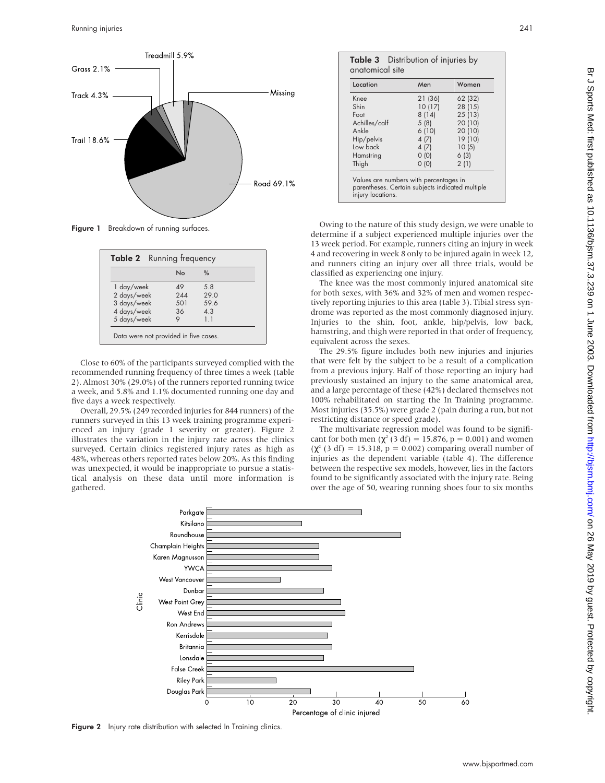

Figure 1 Breakdown of running surfaces.

| Table 2 Running frequency |     |                |  |
|---------------------------|-----|----------------|--|
|                           | No  | $\%$           |  |
| 1 day/week                | 49  | 58             |  |
| 2 days/week               | 244 | 290            |  |
| 3 days/week               | 501 | 59.6           |  |
| 4 days/week               | 36  | $\Delta$ 3     |  |
| 5 days/week               | 9   | 1 <sup>1</sup> |  |

Close to 60% of the participants surveyed complied with the recommended running frequency of three times a week (table 2). Almost 30% (29.0%) of the runners reported running twice a week, and 5.8% and 1.1% documented running one day and five days a week respectively.

Overall, 29.5% (249 recorded injuries for 844 runners) of the runners surveyed in this 13 week training programme experienced an injury (grade 1 severity or greater). Figure 2 illustrates the variation in the injury rate across the clinics surveyed. Certain clinics registered injury rates as high as 48%, whereas others reported rates below 20%. As this finding was unexpected, it would be inappropriate to pursue a statistical analysis on these data until more information is gathered.

| <b>Table 3</b> Distribution of injuries by<br>anatomical site |         |         |  |  |
|---------------------------------------------------------------|---------|---------|--|--|
| Location                                                      | Men     | Women   |  |  |
| Knee                                                          | 21 (36) | 62 (32) |  |  |
| Shin                                                          | 10(17)  | 28 (15) |  |  |
| Foot                                                          | 8(14)   | 25(13)  |  |  |
| Achilles/calf                                                 | 5(8)    | 20 (10) |  |  |

| Ankle      | 6(10) | 20 (10) |
|------------|-------|---------|
| Hip/pelvis | 4(7)  | 19 (10) |
| Low back   | 4 (7) | 10(5)   |
| Hamstring  | O(0)  | 6(3)    |
| Thigh      | 0(0)  | 2(1)    |

Owing to the nature of this study design, we were unable to determine if a subject experienced multiple injuries over the 13 week period. For example, runners citing an injury in week 4 and recovering in week 8 only to be injured again in week 12, and runners citing an injury over all three trials, would be classified as experiencing one injury.

The knee was the most commonly injured anatomical site for both sexes, with 36% and 32% of men and women respectively reporting injuries to this area (table 3). Tibial stress syndrome was reported as the most commonly diagnosed injury. Injuries to the shin, foot, ankle, hip/pelvis, low back, hamstring, and thigh were reported in that order of frequency, equivalent across the sexes.

The 29.5% figure includes both new injuries and injuries that were felt by the subject to be a result of a complication from a previous injury. Half of those reporting an injury had previously sustained an injury to the same anatomical area, and a large percentage of these (42%) declared themselves not 100% rehabilitated on starting the In Training programme. Most injuries (35.5%) were grade 2 (pain during a run, but not restricting distance or speed grade).

The multivariate regression model was found to be significant for both men ( $\chi^2$  (3 df) = 15.876, p = 0.001) and women  $(\chi^2$  (3 df) = 15.318, p = 0.002) comparing overall number of injuries as the dependent variable (table 4). The difference between the respective sex models, however, lies in the factors found to be significantly associated with the injury rate. Being over the age of 50, wearing running shoes four to six months



Figure 2 Injury rate distribution with selected In Training clinics.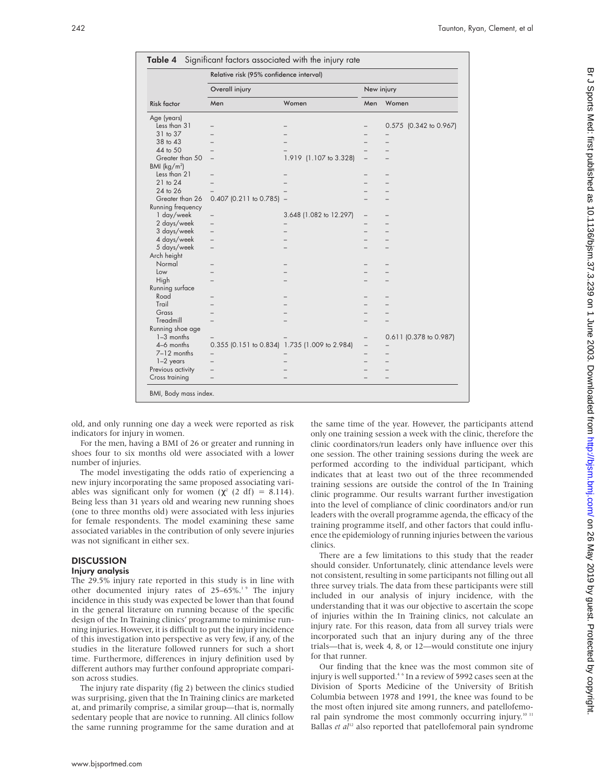|                                 | Relative risk (95% confidence interval) |                                               |                          |                        |
|---------------------------------|-----------------------------------------|-----------------------------------------------|--------------------------|------------------------|
| <b>Risk factor</b>              | Overall injury                          |                                               | New injury               |                        |
|                                 | Men                                     | Women                                         | Men                      | Women                  |
| Age (years)                     |                                         |                                               |                          |                        |
| Less than 31                    |                                         |                                               |                          | 0.575 (0.342 to 0.967) |
| 31 to 37                        |                                         |                                               |                          |                        |
| 38 to 43                        |                                         |                                               |                          |                        |
| 44 to 50                        |                                         |                                               |                          |                        |
| Greater than 50                 |                                         | 1.919 (1.107 to 3.328)                        |                          |                        |
| BMI ( $\text{kg/m}^2$ )         |                                         |                                               |                          |                        |
| Less than 21                    |                                         | -                                             | -                        |                        |
| $21$ to $24$                    |                                         |                                               |                          |                        |
| 24 to 26                        |                                         |                                               |                          |                        |
| Greater than 26                 | $0.407$ (0.211 to 0.785) -              |                                               |                          |                        |
|                                 |                                         |                                               |                          |                        |
| Running frequency<br>1 day/week |                                         | 3.648 (1.082 to 12.297)                       |                          |                        |
|                                 |                                         |                                               | -                        |                        |
| 2 days/week                     |                                         |                                               |                          |                        |
| 3 days/week                     |                                         |                                               |                          |                        |
| 4 days/week                     |                                         |                                               |                          |                        |
| 5 days/week                     |                                         |                                               |                          |                        |
| Arch height                     |                                         |                                               |                          |                        |
| Normal                          |                                         |                                               |                          |                        |
| Low                             |                                         |                                               |                          |                        |
| High                            |                                         |                                               |                          |                        |
| Running surface                 |                                         |                                               |                          |                        |
| Road                            |                                         |                                               |                          |                        |
| Trail                           |                                         |                                               |                          |                        |
| Grass                           |                                         |                                               |                          |                        |
| Treadmill                       |                                         |                                               |                          |                        |
| Running shoe age                |                                         |                                               |                          |                        |
| $1-3$ months                    |                                         |                                               |                          | 0.611 (0.378 to 0.987) |
| 4-6 months                      |                                         | 0.355 (0.151 to 0.834) 1.735 (1.009 to 2.984) | $\overline{\phantom{m}}$ |                        |
| $7-12$ months                   |                                         |                                               | $\overline{\phantom{0}}$ |                        |
| $1-2$ years                     |                                         |                                               |                          |                        |
| Previous activity               |                                         |                                               |                          |                        |
| Cross training                  |                                         |                                               |                          |                        |

old, and only running one day a week were reported as risk indicators for injury in women.

For the men, having a BMI of 26 or greater and running in shoes four to six months old were associated with a lower number of injuries.

The model investigating the odds ratio of experiencing a new injury incorporating the same proposed associating variables was significant only for women ( $\chi^2$  (2 df) = 8.114). Being less than 31 years old and wearing new running shoes (one to three months old) were associated with less injuries for female respondents. The model examining these same associated variables in the contribution of only severe injuries was not significant in either sex.

# **DISCUSSION**

### Injury analysis

The 29.5% injury rate reported in this study is in line with other documented injury rates of 25-65%.<sup>1</sup> The injury incidence in this study was expected be lower than that found in the general literature on running because of the specific design of the In Training clinics' programme to minimise running injuries. However, it is difficult to put the injury incidence of this investigation into perspective as very few, if any, of the studies in the literature followed runners for such a short time. Furthermore, differences in injury definition used by different authors may further confound appropriate comparison across studies.

The injury rate disparity (fig 2) between the clinics studied was surprising, given that the In Training clinics are marketed at, and primarily comprise, a similar group—that is, normally sedentary people that are novice to running. All clinics follow the same running programme for the same duration and at

the same time of the year. However, the participants attend only one training session a week with the clinic, therefore the clinic coordinators/run leaders only have influence over this one session. The other training sessions during the week are performed according to the individual participant, which indicates that at least two out of the three recommended training sessions are outside the control of the In Training clinic programme. Our results warrant further investigation into the level of compliance of clinic coordinators and/or run leaders with the overall programme agenda, the efficacy of the training programme itself, and other factors that could influence the epidemiology of running injuries between the various clinics.

There are a few limitations to this study that the reader should consider. Unfortunately, clinic attendance levels were not consistent, resulting in some participants not filling out all three survey trials. The data from these participants were still included in our analysis of injury incidence, with the understanding that it was our objective to ascertain the scope of injuries within the In Training clinics, not calculate an injury rate. For this reason, data from all survey trials were incorporated such that an injury during any of the three trials—that is, week 4, 8, or 12—would constitute one injury for that runner.

Our finding that the knee was the most common site of injury is well supported.<sup>46</sup> In a review of 5992 cases seen at the Division of Sports Medicine of the University of British Columbia between 1978 and 1991, the knee was found to be the most often injured site among runners, and patellofemoral pain syndrome the most commonly occurring injury.<sup>10 11</sup> Ballas et al<sup>12</sup> also reported that patellofemoral pain syndrome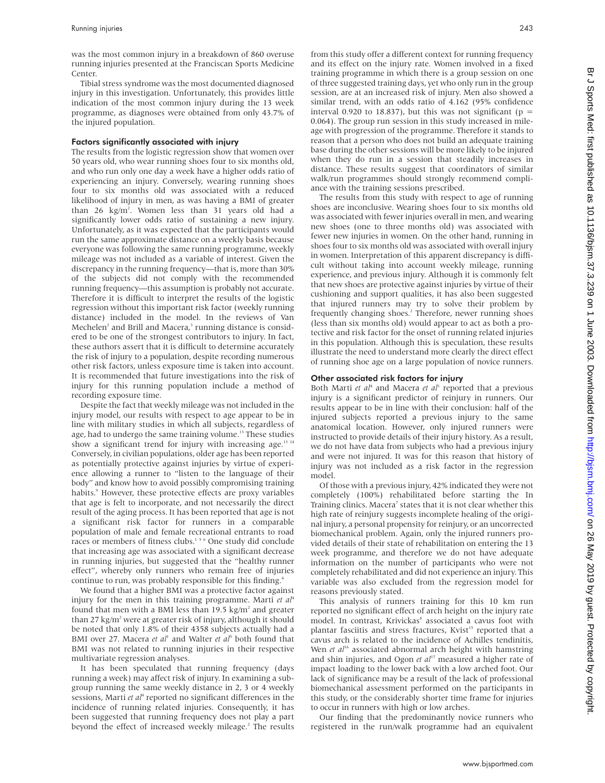was the most common injury in a breakdown of 860 overuse running injuries presented at the Franciscan Sports Medicine Center.

Tibial stress syndrome was the most documented diagnosed injury in this investigation. Unfortunately, this provides little indication of the most common injury during the 13 week programme, as diagnoses were obtained from only 43.7% of the injured population.

### Factors significantly associated with injury

The results from the logistic regression show that women over 50 years old, who wear running shoes four to six months old, and who run only one day a week have a higher odds ratio of experiencing an injury. Conversely, wearing running shoes four to six months old was associated with a reduced likelihood of injury in men, as was having a BMI of greater than 26 kg/m<sup>2</sup>. Women less than 31 years old had a significantly lower odds ratio of sustaining a new injury. Unfortunately, as it was expected that the participants would run the same approximate distance on a weekly basis because everyone was following the same running programme, weekly mileage was not included as a variable of interest. Given the discrepancy in the running frequency—that is, more than 30% of the subjects did not comply with the recommended running frequency—this assumption is probably not accurate. Therefore it is difficult to interpret the results of the logistic regression without this important risk factor (weekly running distance) included in the model. In the reviews of Van Mechelen<sup>2</sup> and Brill and Macera,<sup>3</sup> running distance is considered to be one of the strongest contributors to injury. In fact, these authors assert that it is difficult to determine accurately the risk of injury to a population, despite recording numerous other risk factors, unless exposure time is taken into account. It is recommended that future investigations into the risk of injury for this running population include a method of recording exposure time.

Despite the fact that weekly mileage was not included in the injury model, our results with respect to age appear to be in line with military studies in which all subjects, regardless of age, had to undergo the same training volume.<sup>13</sup> These studies show a significant trend for injury with increasing age.<sup>13 14</sup> Conversely, in civilian populations, older age has been reported as potentially protective against injuries by virtue of experience allowing a runner to "listen to the language of their body" and know how to avoid possibly compromising training habits.<sup>9</sup> However, these protective effects are proxy variables that age is felt to incorporate, and not necessarily the direct result of the aging process. It has been reported that age is not a significant risk factor for runners in a comparable population of male and female recreational entrants to road races or members of fitness clubs.<sup>156</sup> One study did conclude that increasing age was associated with a significant decrease in running injuries, but suggested that the "healthy runner effect", whereby only runners who remain free of injuries continue to run, was probably responsible for this finding.<sup>4</sup>

We found that a higher BMI was a protective factor against injury for the men in this training programme. Marti *et al<sup>4</sup>* found that men with a BMI less than  $19.5 \text{ kg/m}^2$  and greater than 27 kg/m<sup>2</sup> were at greater risk of injury, although it should be noted that only 1.8% of their 4358 subjects actually had a BMI over 27. Macera *et al*<sup>1</sup> and Walter *et al*<sup>5</sup> both found that BMI was not related to running injuries in their respective multivariate regression analyses.

It has been speculated that running frequency (days running a week) may affect risk of injury. In examining a subgroup running the same weekly distance in 2, 3 or 4 weekly sessions, Marti *et al*<sup>4</sup> reported no significant differences in the incidence of running related injuries. Consequently, it has been suggested that running frequency does not play a part beyond the effect of increased weekly mileage.<sup>2</sup> The results

from this study offer a different context for running frequency and its effect on the injury rate. Women involved in a fixed training programme in which there is a group session on one of three suggested training days, yet who only run in the group session, are at an increased risk of injury. Men also showed a similar trend, with an odds ratio of 4.162 (95% confidence interval 0.920 to 18.837), but this was not significant ( $p =$ 0.064). The group run session in this study increased in mileage with progression of the programme. Therefore it stands to reason that a person who does not build an adequate training base during the other sessions will be more likely to be injured when they do run in a session that steadily increases in distance. These results suggest that coordinators of similar walk/run programmes should strongly recommend compliance with the training sessions prescribed.

The results from this study with respect to age of running shoes are inconclusive. Wearing shoes four to six months old was associated with fewer injuries overall in men, and wearing new shoes (one to three months old) was associated with fewer new injuries in women. On the other hand, running in shoes four to six months old was associated with overall injury in women. Interpretation of this apparent discrepancy is difficult without taking into account weekly mileage, running experience, and previous injury. Although it is commonly felt that new shoes are protective against injuries by virtue of their cushioning and support qualities, it has also been suggested that injured runners may try to solve their problem by frequently changing shoes.<sup>2</sup> Therefore, newer running shoes (less than six months old) would appear to act as both a protective and risk factor for the onset of running related injuries in this population. Although this is speculation, these results illustrate the need to understand more clearly the direct effect of running shoe age on a large population of novice runners.

#### Other associated risk factors for injury

Both Marti *et al*<sup>4</sup> and Macera *et al*<sup>1</sup> reported that a previous injury is a significant predictor of reinjury in runners. Our results appear to be in line with their conclusion: half of the injured subjects reported a previous injury to the same anatomical location. However, only injured runners were instructed to provide details of their injury history. As a result, we do not have data from subjects who had a previous injury and were not injured. It was for this reason that history of injury was not included as a risk factor in the regression model.

Of those with a previous injury, 42% indicated they were not completely (100%) rehabilitated before starting the In Training clinics. Macera<sup>7</sup> states that it is not clear whether this high rate of reinjury suggests incomplete healing of the original injury, a personal propensity for reinjury, or an uncorrected biomechanical problem. Again, only the injured runners provided details of their state of rehabilitation on entering the 13 week programme, and therefore we do not have adequate information on the number of participants who were not completely rehabilitated and did not experience an injury. This variable was also excluded from the regression model for reasons previously stated.

This analysis of runners training for this 10 km run reported no significant effect of arch height on the injury rate model. In contrast, Krivickas<sup>8</sup> associated a cavus foot with plantar fasciitis and stress fractures, Kvist<sup>15</sup> reported that a cavus arch is related to the incidence of Achilles tendinitis, Wen *et al*<sup>16</sup> associated abnormal arch height with hamstring and shin injuries, and Ogon *et al*<sup>17</sup> measured a higher rate of impact loading to the lower back with a low arched foot. Our lack of significance may be a result of the lack of professional biomechanical assessment performed on the participants in this study, or the considerably shorter time frame for injuries to occur in runners with high or low arches.

Our finding that the predominantly novice runners who registered in the run/walk programme had an equivalent